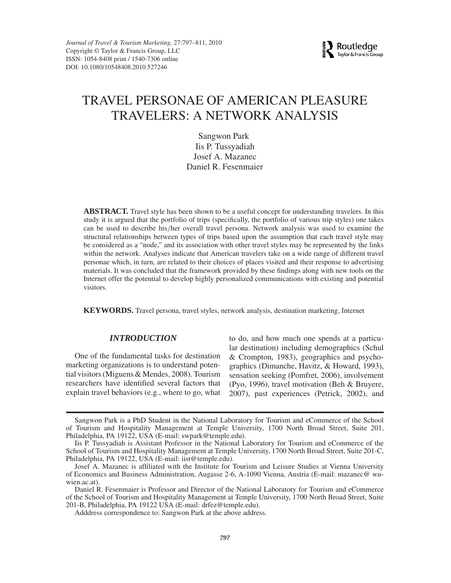

# TRAVEL PERSONAE OF AMERICAN PLEASURE TRAVELERS: A NETWORK ANALYSIS

Sangwon Park Iis P. Tussyadiah Josef A. Mazanec Daniel R. Fesenmaier

**ABSTRACT.** Travel style has been shown to be a useful concept for understanding travelers. In this study it is argued that the portfolio of trips (specifically, the portfolio of various trip styles) one takes can be used to describe his/her overall travel persona. Network analysis was used to examine the structural relationships between types of trips based upon the assumption that each travel style may be considered as a "node," and its association with other travel styles may be represented by the links within the network. Analyses indicate that American travelers take on a wide range of different travel personae which, in turn, are related to their choices of places visited and their response to advertising materials. It was concluded that the framework provided by these findings along with new tools on the Internet offer the potential to develop highly personalized communications with existing and potential visitors.

**KEYWORDS.** Travel persona, travel styles, network analysis, destination marketing, Internet

#### *INTRODUCTION*

One of the fundamental tasks for destination marketing organizations is to understand potential visitors (Miguens & Mendes, 2008). Tourism researchers have identified several factors that explain travel behaviors (e.g., where to go, what to do, and how much one spends at a particular destination) including demographics (Schul & Crompton, 1983), geographics and psychographics (Dimanche, Havitz, & Howard, 1993), sensation seeking (Pomfret, 2006), involvement (Pyo, 1996), travel motivation (Beh & Bruyere, 2007), past experiences (Petrick, 2002), and

Sangwon Park is a PhD Student in the National Laboratory for Tourism and eCommerce of the School of Tourism and Hospitality Management at Temple University, 1700 North Broad Street, Suite 201, Philadelphia, PA 19122, USA (E-mail: swpark@temple.edu).

Iis P. Tussyadiah is Assistant Professor in the National Laboratory for Tourism and eCommerce of the School of Tourism and Hospitality Management at Temple University, 1700 North Broad Street, Suite 201-C, Philadelphia, PA 19122, USA (E-mail: iist@temple.edu).

Josef A. Mazanec is affiliated with the Institute for Tourism and Leisure Studies at Vienna University of Economics and Business Administration, Augasse 2-6, A-1090 Vienna, Austria (E-mail: mazanec@ wuwien.ac.at).

Daniel R. Fesenmaier is Professor and Director of the National Laboratory for Tourism and eCommerce of the School of Tourism and Hospitality Management at Temple University, 1700 North Broad Street, Suite 201-B, Philadelphia, PA 19122 USA (E-mail: drfez@temple.edu).

Adddress correspondence to: Sangwon Park at the above address.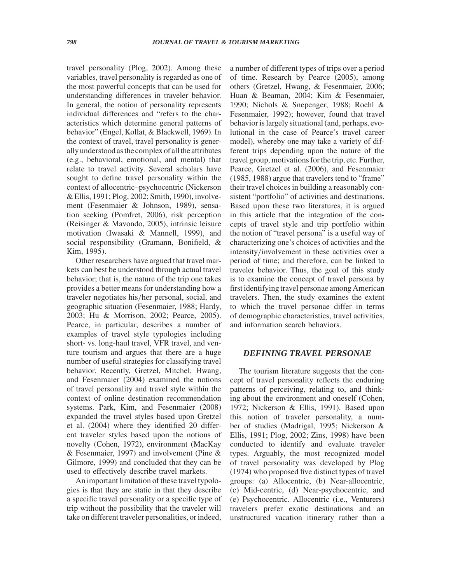travel personality (Plog, 2002). Among these variables, travel personality is regarded as one of the most powerful concepts that can be used for understanding differences in traveler behavior. In general, the notion of personality represents individual differences and "refers to the characteristics which determine general patterns of behavior" (Engel, Kollat, & Blackwell, 1969). In the context of travel, travel personality is generally understood as the complex of all the attributes (e.g., behavioral, emotional, and mental) that relate to travel activity. Several scholars have sought to define travel personality within the context of allocentric–psychocentric (Nickerson & Ellis, 1991; Plog, 2002; Smith, 1990), involvement (Fesenmaier & Johnson, 1989), sensation seeking (Pomfret, 2006), risk perception (Reisinger & Mavondo, 2005), intrinsic leisure motivation (Iwasaki & Mannell, 1999), and social responsibility (Gramann, Bonifield, & Kim, 1995).

Other researchers have argued that travel markets can best be understood through actual travel behavior; that is, the nature of the trip one takes provides a better means for understanding how a traveler negotiates his/her personal, social, and geographic situation (Fesenmaier, 1988; Hardy, 2003; Hu & Morrison, 2002; Pearce, 2005). Pearce, in particular, describes a number of examples of travel style typologies including short- vs. long-haul travel, VFR travel, and venture tourism and argues that there are a huge number of useful strategies for classifying travel behavior. Recently, Gretzel, Mitchel, Hwang, and Fesenmaier (2004) examined the notions of travel personality and travel style within the context of online destination recommendation systems. Park, Kim, and Fesenmaier (2008) expanded the travel styles based upon Gretzel et al. (2004) where they identified 20 different traveler styles based upon the notions of novelty (Cohen, 1972), environment (MacKay & Fesenmaier, 1997) and involvement (Pine & Gilmore, 1999) and concluded that they can be used to effectively describe travel markets.

An important limitation of these travel typologies is that they are static in that they describe a specific travel personality or a specific type of trip without the possibility that the traveler will take on different traveler personalities, or indeed, a number of different types of trips over a period of time. Research by Pearce (2005), among others (Gretzel, Hwang, & Fesenmaier, 2006; Huan & Beaman, 2004; Kim & Fesenmaier, 1990; Nichols & Snepenger, 1988; Roehl & Fesenmaier, 1992); however, found that travel behavior is largely situational (and, perhaps, evolutional in the case of Pearce's travel career model), whereby one may take a variety of different trips depending upon the nature of the travel group, motivations for the trip, etc. Further, Pearce, Gretzel et al. (2006), and Fesenmaier (1985, 1988) argue that travelers tend to "frame" their travel choices in building a reasonably consistent "portfolio" of activities and destinations. Based upon these two literatures, it is argued in this article that the integration of the concepts of travel style and trip portfolio within the notion of "travel persona" is a useful way of characterizing one's choices of activities and the intensity/involvement in these activities over a period of time; and therefore, can be linked to traveler behavior. Thus, the goal of this study is to examine the concept of travel persona by first identifying travel personae among American travelers. Then, the study examines the extent to which the travel personae differ in terms of demographic characteristics, travel activities, and information search behaviors.

# *DEFINING TRAVEL PERSONAE*

The tourism literature suggests that the concept of travel personality reflects the enduring patterns of perceiving, relating to, and thinking about the environment and oneself (Cohen, 1972; Nickerson & Ellis, 1991). Based upon this notion of traveler personality, a number of studies (Madrigal, 1995; Nickerson & Ellis, 1991; Plog, 2002; Zins, 1998) have been conducted to identify and evaluate traveler types. Arguably, the most recognized model of travel personality was developed by Plog (1974) who proposed five distinct types of travel groups: (a) Allocentric, (b) Near-allocentric, (c) Mid-centric, (d) Near-psychocentric, and (e) Psychocentric. Allocentric (i.e., Venturers) travelers prefer exotic destinations and an unstructured vacation itinerary rather than a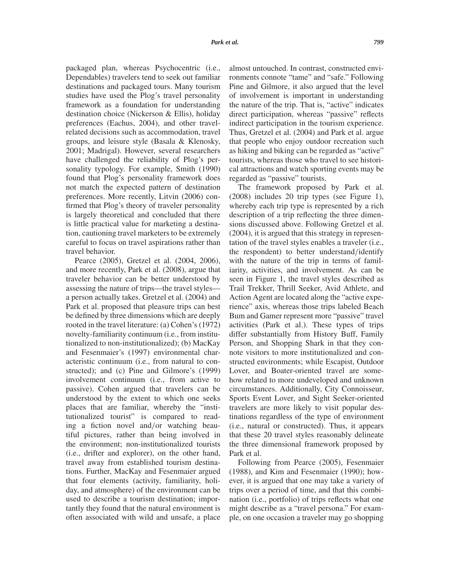packaged plan, whereas Psychocentric (i.e., Dependables) travelers tend to seek out familiar destinations and packaged tours. Many tourism studies have used the Plog's travel personality framework as a foundation for understanding destination choice (Nickerson & Ellis), holiday preferences (Eachus, 2004), and other travelrelated decisions such as accommodation, travel groups, and leisure style (Basala & Klenosky, 2001; Madrigal). However, several researchers have challenged the reliability of Plog's personality typology. For example, Smith (1990) found that Plog's personality framework does not match the expected pattern of destination preferences. More recently, Litvin (2006) confirmed that Plog's theory of traveler personality is largely theoretical and concluded that there is little practical value for marketing a destination, cautioning travel marketers to be extremely careful to focus on travel aspirations rather than travel behavior.

Pearce (2005), Gretzel et al. (2004, 2006), and more recently, Park et al. (2008), argue that traveler behavior can be better understood by assessing the nature of trips—the travel styles a person actually takes. Gretzel et al. (2004) and Park et al. proposed that pleasure trips can best be defined by three dimensions which are deeply rooted in the travel literature: (a) Cohen's (1972) novelty-familiarity continuum (i.e., from institutionalized to non-institutionalized); (b) MacKay and Fesenmaier's (1997) environmental characteristic continuum (i.e., from natural to constructed); and (c) Pine and Gilmore's (1999) involvement continuum (i.e., from active to passive). Cohen argued that travelers can be understood by the extent to which one seeks places that are familiar, whereby the "institutionalized tourist" is compared to reading a fiction novel and/or watching beautiful pictures, rather than being involved in the environment; non-institutionalized tourists (i.e., drifter and explorer), on the other hand, travel away from established tourism destinations. Further, MacKay and Fesenmaier argued that four elements (activity, familiarity, holiday, and atmosphere) of the environment can be used to describe a tourism destination; importantly they found that the natural environment is often associated with wild and unsafe, a place

almost untouched. In contrast, constructed environments connote "tame" and "safe." Following Pine and Gilmore, it also argued that the level of involvement is important in understanding the nature of the trip. That is, "active" indicates direct participation, whereas "passive" reflects indirect participation in the tourism experience. Thus, Gretzel et al. (2004) and Park et al. argue that people who enjoy outdoor recreation such as hiking and biking can be regarded as "active" tourists, whereas those who travel to see historical attractions and watch sporting events may be regarded as "passive" tourists.

The framework proposed by Park et al. (2008) includes 20 trip types (see Figure 1), whereby each trip type is represented by a rich description of a trip reflecting the three dimensions discussed above. Following Gretzel et al. (2004), it is argued that this strategy in representation of the travel styles enables a traveler (i.e., the respondent) to better understand/identify with the nature of the trip in terms of familiarity, activities, and involvement. As can be seen in Figure 1, the travel styles described as Trail Trekker, Thrill Seeker, Avid Athlete, and Action Agent are located along the "active experience" axis, whereas those trips labeled Beach Bum and Gamer represent more "passive" travel activities (Park et al.). These types of trips differ substantially from History Buff, Family Person, and Shopping Shark in that they connote visitors to more institutionalized and constructed environments; while Escapist, Outdoor Lover, and Boater-oriented travel are somehow related to more undeveloped and unknown circumstances. Additionally, City Connoisseur, Sports Event Lover, and Sight Seeker-oriented travelers are more likely to visit popular destinations regardless of the type of environment (i.e., natural or constructed). Thus, it appears that these 20 travel styles reasonably delineate the three dimensional framework proposed by Park et al.

Following from Pearce (2005), Fesenmaier (1988), and Kim and Fesenmaier (1990); however, it is argued that one may take a variety of trips over a period of time, and that this combination (i.e., portfolio) of trips reflects what one might describe as a "travel persona." For example, on one occasion a traveler may go shopping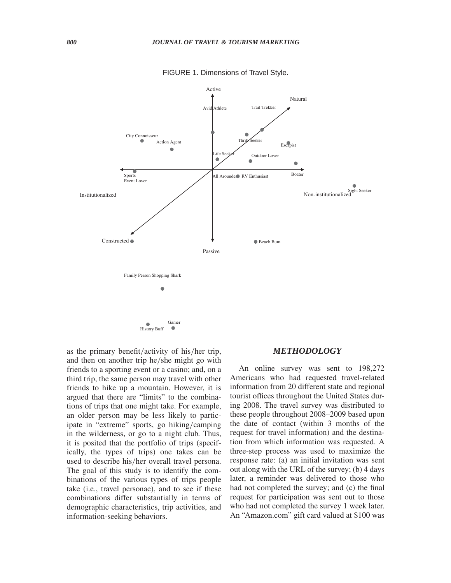

FIGURE 1. Dimensions of Travel Style.

as the primary benefit/activity of his/her trip, and then on another trip he/she might go with friends to a sporting event or a casino; and, on a third trip, the same person may travel with other friends to hike up a mountain. However, it is argued that there are "limits" to the combinations of trips that one might take. For example, an older person may be less likely to participate in "extreme" sports, go hiking/camping in the wilderness, or go to a night club. Thus, it is posited that the portfolio of trips (specifically, the types of trips) one takes can be used to describe his/her overall travel persona. The goal of this study is to identify the combinations of the various types of trips people take (i.e., travel personae), and to see if these combinations differ substantially in terms of demographic characteristics, trip activities, and information-seeking behaviors.

#### *METHODOLOGY*

An online survey was sent to 198,272 Americans who had requested travel-related information from 20 different state and regional tourist offices throughout the United States during 2008. The travel survey was distributed to these people throughout 2008–2009 based upon the date of contact (within 3 months of the request for travel information) and the destination from which information was requested. A three-step process was used to maximize the response rate: (a) an initial invitation was sent out along with the URL of the survey; (b) 4 days later, a reminder was delivered to those who had not completed the survey; and (c) the final request for participation was sent out to those who had not completed the survey 1 week later. An "Amazon.com" gift card valued at \$100 was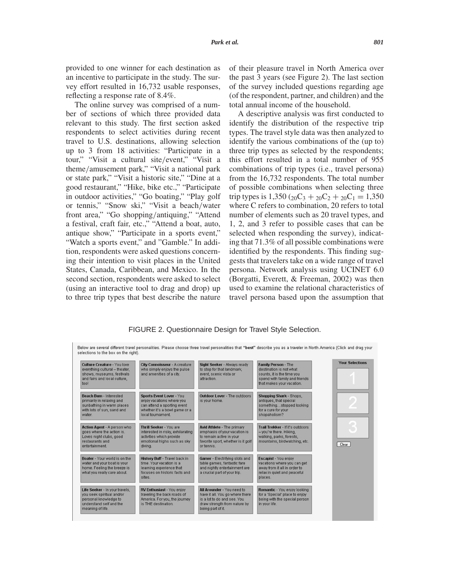provided to one winner for each destination as an incentive to participate in the study. The survey effort resulted in 16,732 usable responses, reflecting a response rate of 8.4%.

The online survey was comprised of a number of sections of which three provided data relevant to this study. The first section asked respondents to select activities during recent travel to U.S. destinations, allowing selection up to 3 from 18 activities: "Participate in a tour," "Visit a cultural site/event," "Visit a theme/amusement park," "Visit a national park or state park," "Visit a historic site," "Dine at a good restaurant," "Hike, bike etc.," "Participate in outdoor activities," "Go boating," "Play golf or tennis," "Snow ski," "Visit a beach/water front area," "Go shopping/antiquing," "Attend a festival, craft fair, etc.," "Attend a boat, auto, antique show," "Participate in a sports event," "Watch a sports event," and "Gamble." In addition, respondents were asked questions concerning their intention to visit places in the United States, Canada, Caribbean, and Mexico. In the second section, respondents were asked to select (using an interactive tool to drag and drop) up to three trip types that best describe the nature of their pleasure travel in North America over the past 3 years (see Figure 2). The last section of the survey included questions regarding age (of the respondent, partner, and children) and the total annual income of the household.

A descriptive analysis was first conducted to identify the distribution of the respective trip types. The travel style data was then analyzed to identify the various combinations of the (up to) three trip types as selected by the respondents; this effort resulted in a total number of 955 combinations of trip types (i.e., travel persona) from the 16,732 respondents. The total number of possible combinations when selecting three trip types is  $1,350$  ( $_{20}C_3 + _{20}C_2 + _{20}C_1 = 1,350$ where C refers to combination, 20 refers to total number of elements such as 20 travel types, and 1, 2, and 3 refer to possible cases that can be selected when responding the survey), indicating that 71.3% of all possible combinations were identified by the respondents. This finding suggests that travelers take on a wide range of travel persona. Network analysis using UCINET 6.0 (Borgatti, Everett, & Freeman, 2002) was then used to examine the relational characteristics of travel persona based upon the assumption that

FIGURE 2. Questionnaire Design for Travel Style Selection.

Below are several different travel nersonalities. Please choose three travel nersonalities that "hest" describe you as a traveler in North America (Click and drag your

| Culture Creature - You love<br>everything cultural - theater,<br>shows, museums, festivals<br>and fairs and local culture.<br>too!  | City Connoisseur - A creature<br>who simply enjoys the pulse<br>and amenities of a city.                                                   | Sight Seeker - Always ready<br>to stop for that landmark.<br>event, scenic vista or<br>attraction.                                                | Family Person - The<br>destination is not what<br>counts, it is the time you<br>spend with family and friends<br>that makes your vacation. | <b>Your Selections</b> |
|-------------------------------------------------------------------------------------------------------------------------------------|--------------------------------------------------------------------------------------------------------------------------------------------|---------------------------------------------------------------------------------------------------------------------------------------------------|--------------------------------------------------------------------------------------------------------------------------------------------|------------------------|
| Beach Bum - Interested<br>primarily in relaxing and<br>sunbathing in warm places<br>with lots of sun, sand and<br>water.            | Sports Event Lover - You<br>enjoy vacations where you<br>can attend a sporting event<br>whether it's a bowl game or a<br>local tournament. | <b>Outdoor Lover - The outdoors</b><br>is your home.                                                                                              | Shopping Shark - Shops,<br>antiques, that special<br>somethingstopped looking<br>for a cure for your<br>shopaholism?                       |                        |
| Action Agent - A person who<br>goes where the action is.<br>Loves night clubs, good<br>restaurants and<br>entertainment.            | Thrill Seeker - You are<br>interested in risky, exhilarating<br>activities which provide<br>emotional highs such as sky<br>diving.         | Avid Athlete - The primary<br>emphasis of your vacation is<br>to remain active in your<br>favorite sport, whether is it golf<br>or tennis.        | Trail Trekker - If it's outdoors<br>- you're there. Hiking,<br>walking, parks, forests,<br>mountains, birdwatching, etc.                   | Clear                  |
| Boater - Your world is on the<br>water and your boat is your<br>home. Feeling the breeze is<br>what you really care about.          | History Buff - Travel back in<br>time. Your vacation is a<br>learning experience that<br>focuses on historic facts and<br>sites.           | Gamer - Electrifving slots and<br>table games, fantastic fare<br>and nightly entertainment are<br>a crucial part of your trip.                    | Escapist - You enjoy<br>vacations where you can get<br>away from it all in order to<br>relax in quiet and peaceful<br>places.              |                        |
| Life Seeker - In your travels,<br>you seek spiritual and/or<br>personal knowledge to<br>understand self and the<br>meaning of life. | RV Enthusiast - You enjoy<br>traveling the back roads of<br>America. For you, the journey<br>is THE destination.                           | All Arounder - You need to<br>have it all. You go where there<br>is a lot to do and see. You<br>draw strength from nature by<br>being part of it. | Romantic - You enjoy looking<br>for a 'Special' place to enjoy<br>being with the special person<br>in your life.                           |                        |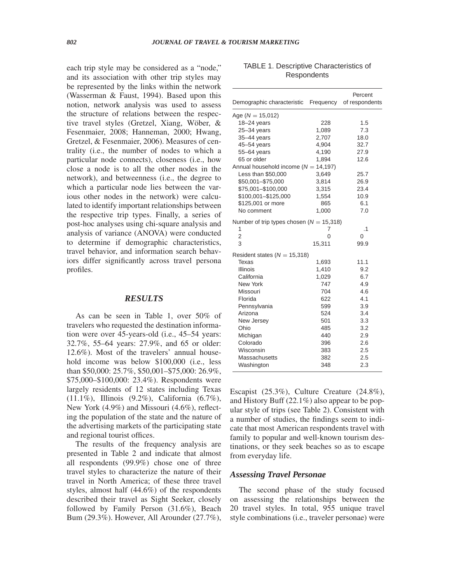each trip style may be considered as a "node," and its association with other trip styles may be represented by the links within the network (Wasserman & Faust, 1994). Based upon this notion, network analysis was used to assess the structure of relations between the respective travel styles (Gretzel, Xiang, Wöber, & Fesenmaier, 2008; Hanneman, 2000; Hwang, Gretzel, & Fesenmaier, 2006). Measures of centrality (i.e., the number of nodes to which a particular node connects), closeness (i.e., how close a node is to all the other nodes in the network), and betweenness (i.e., the degree to which a particular node lies between the various other nodes in the network) were calculated to identify important relationships between the respective trip types. Finally, a series of post-hoc analyses using chi-square analysis and analysis of variance (ANOVA) were conducted to determine if demographic characteristics, travel behavior, and information search behaviors differ significantly across travel persona profiles.

#### *RESULTS*

As can be seen in Table 1, over 50% of travelers who requested the destination information were over 45-years-old (i.e., 45–54 years: 32.7%, 55–64 years: 27.9%, and 65 or older: 12.6%). Most of the travelers' annual household income was below \$100,000 (i.e., less than \$50,000: 25.7%, \$50,001–\$75,000: 26.9%, \$75,000–\$100,000: 23.4%). Respondents were largely residents of 12 states including Texas (11.1%), Illinois (9.2%), California (6.7%), New York (4.9%) and Missouri (4.6%), reflecting the population of the state and the nature of the advertising markets of the participating state and regional tourist offices.

The results of the frequency analysis are presented in Table 2 and indicate that almost all respondents (99.9%) chose one of three travel styles to characterize the nature of their travel in North America; of these three travel styles, almost half (44.6%) of the respondents described their travel as Sight Seeker, closely followed by Family Person (31.6%), Beach Bum (29.3%). However, All Arounder (27.7%),

| Demographic characteristic Frequency         |                | Percent<br>of respondents |
|----------------------------------------------|----------------|---------------------------|
| Age ( $N = 15,012$ )                         |                |                           |
| 18-24 years                                  | 228            | 1.5                       |
| 25-34 years                                  | 1,089          | 7.3                       |
| 35-44 years                                  | 2,707          | 18.0                      |
| $45 - 54$ years                              | 4,904          | 32.7                      |
| 55-64 years                                  | 4,190          | 27.9                      |
| 65 or older                                  | 1,894          | 12.6                      |
| Annual household income ( $N = 14,197$ )     |                |                           |
| Less than \$50,000                           | 3,649          | 25.7                      |
| \$50,001-\$75,000                            | 3,814          | 26.9                      |
| \$75,001-\$100,000                           | 3,315          | 23.4                      |
| \$100,001-\$125,000                          | 1,554          | 10.9                      |
| \$125,001 or more                            | 865            | 6.1                       |
| No comment                                   | 1,000          | 7.0                       |
| Number of trip types chosen ( $N = 15,318$ ) |                |                           |
| 1                                            | 7              | $\cdot$ 1                 |
| $\overline{2}$                               | $\overline{0}$ | 0                         |
| 3                                            | 15,311         | 99.9                      |
| Resident states ( $N = 15,318$ )             |                |                           |
| <b>Texas</b>                                 | 1,693          | 11.1                      |
| <b>Illinois</b>                              | 1,410          | 9.2                       |
| California                                   | 1,029          | 6.7                       |
| New York                                     | 747            | 4.9                       |
| Missouri                                     | 704            | 4.6                       |
| Florida                                      | 622            | 4.1                       |
| Pennsylvania                                 | 599            | 3.9                       |
| Arizona                                      | 524            | 3.4                       |
| New Jersey                                   | 501            | 3.3                       |
| Ohio                                         | 485            | 3.2                       |
| Michigan                                     | 440            | 2.9                       |
| Colorado                                     | 396            | 2.6                       |
| Wisconsin                                    | 383            | 2.5                       |
| Massachusetts                                | 382            | 2.5                       |
| Washington                                   | 348            | 2.3                       |

### TABLE 1. Descriptive Characteristics of **Respondents**

Escapist (25.3%), Culture Creature (24.8%), and History Buff (22.1%) also appear to be popular style of trips (see Table 2). Consistent with a number of studies, the findings seem to indicate that most American respondents travel with family to popular and well-known tourism destinations, or they seek beaches so as to escape from everyday life.

## *Assessing Travel Personae*

The second phase of the study focused on assessing the relationships between the 20 travel styles. In total, 955 unique travel style combinations (i.e., traveler personae) were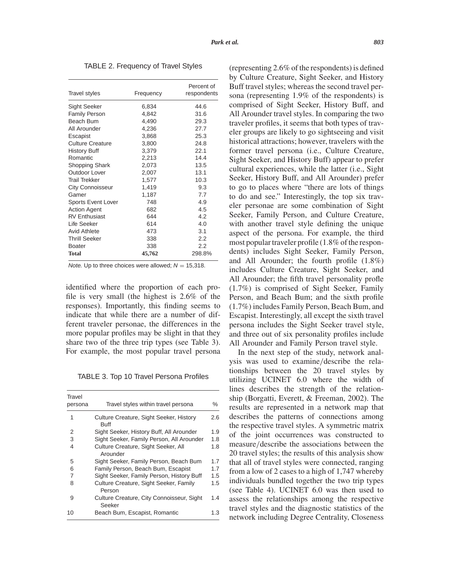| <b>Travel styles</b>      | Frequency | Percent of<br>respondents |
|---------------------------|-----------|---------------------------|
| Sight Seeker              | 6,834     | 44.6                      |
| <b>Family Person</b>      | 4,842     | 31.6                      |
| Beach Bum                 | 4,490     | 29.3                      |
| All Arounder              | 4,236     | 27.7                      |
| Escapist                  | 3,868     | 25.3                      |
| <b>Culture Creature</b>   | 3,800     | 24.8                      |
| <b>History Buff</b>       | 3,379     | 22.1                      |
| Romantic                  | 2,213     | 14.4                      |
| <b>Shopping Shark</b>     | 2,073     | 13.5                      |
| Outdoor Lover             | 2,007     | 13.1                      |
| <b>Trail Trekker</b>      | 1,577     | 10.3                      |
| <b>City Connoisseur</b>   | 1,419     | 9.3                       |
| Gamer                     | 1,187     | 7.7                       |
| <b>Sports Event Lover</b> | 748       | 4.9                       |
| <b>Action Agent</b>       | 682       | 4.5                       |
| <b>RV Enthusiast</b>      | 644       | 4.2                       |
| Life Seeker               | 614       | 4.0                       |
| <b>Avid Athlete</b>       | 473       | 3.1                       |
| <b>Thrill Seeker</b>      | 338       | 2.2                       |
| <b>Boater</b>             | 338       | 2.2                       |
| <b>Total</b>              | 45,762    | 298.8%                    |

TABLE 2. Frequency of Travel Styles

*Note.* Up to three choices were allowed;  $N = 15,318$ .

identified where the proportion of each profile is very small (the highest is 2.6% of the responses). Importantly, this finding seems to indicate that while there are a number of different traveler personae, the differences in the more popular profiles may be slight in that they share two of the three trip types (see Table 3). For example, the most popular travel persona

TABLE 3. Top 10 Travel Persona Profiles

| Travel<br>persona | Travel styles within travel persona                    | ℅   |
|-------------------|--------------------------------------------------------|-----|
| 1                 | Culture Creature, Sight Seeker, History<br><b>Buff</b> | 2.6 |
| 2                 | Sight Seeker, History Buff, All Arounder               | 1.9 |
| 3                 | Sight Seeker, Family Person, All Arounder              | 1.8 |
| 4                 | Culture Creature, Sight Seeker, All<br>Arounder        | 1.8 |
| 5                 | Sight Seeker, Family Person, Beach Bum                 | 1.7 |
| 6                 | Family Person, Beach Bum, Escapist                     | 1.7 |
| $\overline{7}$    | Sight Seeker, Family Person, History Buff              | 1.5 |
| 8                 | Culture Creature, Sight Seeker, Family<br>Person       | 1.5 |
| 9                 | Culture Creature, City Connoisseur, Sight<br>Seeker    | 1.4 |
| 10                | Beach Bum, Escapist, Romantic                          | 1.3 |

(representing 2.6% of the respondents) is defined by Culture Creature, Sight Seeker, and History Buff travel styles; whereas the second travel persona (representing 1.9% of the respondents) is comprised of Sight Seeker, History Buff, and All Arounder travel styles. In comparing the two traveler profiles, it seems that both types of traveler groups are likely to go sightseeing and visit historical attractions; however, travelers with the former travel persona (i.e., Culture Creature, Sight Seeker, and History Buff) appear to prefer cultural experiences, while the latter (i.e., Sight Seeker, History Buff, and All Arounder) prefer to go to places where "there are lots of things to do and see." Interestingly, the top six traveler personae are some combination of Sight Seeker, Family Person, and Culture Creature, with another travel style defining the unique aspect of the persona. For example, the third most popular traveler profile (1.8% of the respondents) includes Sight Seeker, Family Person, and All Arounder; the fourth profile (1.8%) includes Culture Creature, Sight Seeker, and All Arounder; the fifth travel personality profle (1.7%) is comprised of Sight Seeker, Family Person, and Beach Bum; and the sixth profile (1.7%) includes Family Person, Beach Bum, and Escapist. Interestingly, all except the sixth travel persona includes the Sight Seeker travel style, and three out of six personality profiles include All Arounder and Family Person travel style.

In the next step of the study, network analysis was used to examine/describe the relationships between the 20 travel styles by utilizing UCINET 6.0 where the width of lines describes the strength of the relationship (Borgatti, Everett, & Freeman, 2002). The results are represented in a network map that describes the patterns of connections among the respective travel styles. A symmetric matrix of the joint occurrences was constructed to measure/describe the associations between the 20 travel styles; the results of this analysis show that all of travel styles were connected, ranging from a low of 2 cases to a high of 1,747 whereby individuals bundled together the two trip types (see Table 4). UCINET 6.0 was then used to assess the relationships among the respective travel styles and the diagnostic statistics of the network including Degree Centrality, Closeness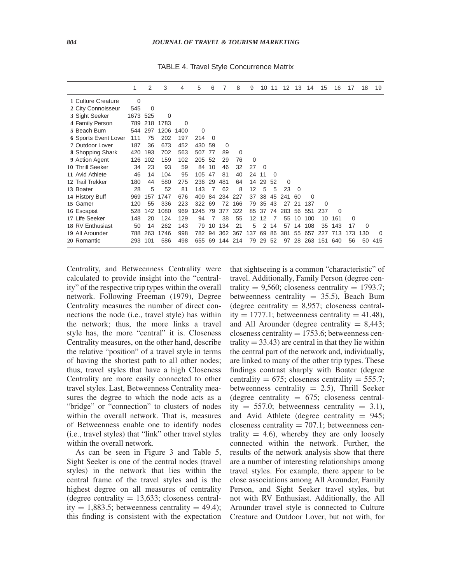|                      | 1        | 2   | 3    | 4    | 5    | 6   | 7   | 8        | 9   | 10       | 11 | 12  | 13       | 14  | 15       | 16       | 17  | 18       | 19       |
|----------------------|----------|-----|------|------|------|-----|-----|----------|-----|----------|----|-----|----------|-----|----------|----------|-----|----------|----------|
| 1 Culture Creature   | $\Omega$ |     |      |      |      |     |     |          |     |          |    |     |          |     |          |          |     |          |          |
| 2 City Connoisseur   | 545      | 0   |      |      |      |     |     |          |     |          |    |     |          |     |          |          |     |          |          |
| 3 Sight Seeker       | 1673     | 525 | 0    |      |      |     |     |          |     |          |    |     |          |     |          |          |     |          |          |
| 4 Family Person      | 789      | 218 | 1783 | 0    |      |     |     |          |     |          |    |     |          |     |          |          |     |          |          |
| 5 Beach Bum          | 544      | 297 | 1206 | 1400 | 0    |     |     |          |     |          |    |     |          |     |          |          |     |          |          |
| 6 Sports Event Lover | 111      | 75  | 202  | 197  | 214  | 0   |     |          |     |          |    |     |          |     |          |          |     |          |          |
| 7 Outdoor Lover      | 187      | 36  | 673  | 452  | 430  | 59  | 0   |          |     |          |    |     |          |     |          |          |     |          |          |
| 8 Shopping Shark     | 420      | 193 | 702  | 563  | 507  | 77  | 89  | $\Omega$ |     |          |    |     |          |     |          |          |     |          |          |
| 9 Action Agent       | 126      | 102 | 159  | 102  | 205  | -52 | 29  | 76       | 0   |          |    |     |          |     |          |          |     |          |          |
| 10 Thrill Seeker     | 34       | 23  | 93   | 59   | 84   | 10  | 46  | 32       | 27  | $\Omega$ |    |     |          |     |          |          |     |          |          |
| 11 Avid Athlete      | 46       | 14  | 104  | 95   | 105  | 47  | 81  | 40       | 24  | -11      | 0  |     |          |     |          |          |     |          |          |
| 12 Trail Trekker     | 180      | 44  | 580  | 275  | 236  | 29  | 481 | 64       | 14  | 29       | 52 | 0   |          |     |          |          |     |          |          |
| 13 Boater            | 28       | 5   | 52   | 81   | 143  | 7   | 62  | 8        | 12  | 5        | 5  | 23  | $\Omega$ |     |          |          |     |          |          |
| 14 History Buff      | 969      | 157 | 1747 | 676  | 409  | 84  | 234 | 227      | 37  | 38       | 45 | 241 | 60       | 0   |          |          |     |          |          |
| 15 Gamer             | 120      | 55  | 336  | 223  | 322  | 69  | 72  | 166      | 79  | 35       | 43 | 27  |          | 137 | $\Omega$ |          |     |          |          |
| 16 Escapist          | 528      | 142 | 1080 | 969  | 1245 | 79  | 377 | 322      | 85  | 37       | 74 | 283 | 56       | 551 | 237      | $\Omega$ |     |          |          |
| 17 Life Seeker       | 148      | 20  | 124  | 129  | 94   | 7   | 38  | 55       | 12  | 12       | 7  | 55  | 10       | 100 | 10       | 161      | 0   |          |          |
| 18 RV Enthusiast     | 50       | 14  | 262  | 143  | 79   | 10  | 134 | 21       | 5   |          | 14 | 57  | 14       | 108 | 35       | 143      | 17  | $\Omega$ |          |
| 19 All Arounder      | 788      | 263 | 1746 | 998  | 782  | 94  | 362 | 367      | 137 | 69       | 86 | 381 | 55       | 657 | 227      | 713      | 173 | 130      | $\Omega$ |
| 20 Romantic          | 293      | 101 | 586  | 498  | 655  | 69  | 144 | 214      | 79  | 29       | 52 | 97  | 28       | 263 | 151      | 640      | 56  | 50       | 415      |

TABLE 4. Travel Style Concurrence Matrix

Centrality, and Betweenness Centrality were calculated to provide insight into the "centrality" of the respective trip types within the overall network. Following Freeman (1979), Degree Centrality measures the number of direct connections the node (i.e., travel style) has within the network; thus, the more links a travel style has, the more "central" it is. Closeness Centrality measures, on the other hand, describe the relative "position" of a travel style in terms of having the shortest path to all other nodes; thus, travel styles that have a high Closeness Centrality are more easily connected to other travel styles. Last, Betweenness Centrality measures the degree to which the node acts as a "bridge" or "connection" to clusters of nodes within the overall network. That is, measures of Betweenness enable one to identify nodes (i.e., travel styles) that "link" other travel styles within the overall network.

As can be seen in Figure 3 and Table 5, Sight Seeker is one of the central nodes (travel styles) in the network that lies within the central frame of the travel styles and is the highest degree on all measures of centrality (degree centrality  $= 13,633$ ; closeness centrality = 1,883.5; betweenness centrality = 49.4); this finding is consistent with the expectation

that sightseeing is a common "characteristic" of travel. Additionally, Family Person (degree centrality =  $9,560$ ; closeness centrality = 1793.7; betweenness centrality  $= 35.5$ ), Beach Bum (degree centrality  $= 8.957$ ; closeness centrality  $= 1777.1$ ; betweenness centrality  $= 41.48$ ), and All Arounder (degree centrality  $= 8,443;$ closeness centrality  $= 1753.6$ ; betweenness centrality  $= 33.43$ ) are central in that they lie within the central part of the network and, individually, are linked to many of the other trip types. These findings contrast sharply with Boater (degree centrality =  $675$ ; closeness centrality =  $555.7$ ; betweenness centrality  $= 2.5$ ), Thrill Seeker (degree centrality  $= 675$ ; closeness centrality =  $557.0$ ; betweenness centrality = 3.1), and Avid Athlete (degree centrality  $= 945$ ; closeness centrality  $= 707.1$ ; betweenness centrality  $= 4.6$ ), whereby they are only loosely connected within the network. Further, the results of the network analysis show that there are a number of interesting relationships among travel styles. For example, there appear to be close associations among All Arounder, Family Person, and Sight Seeker travel styles, but not with RV Enthusiast. Additionally, the All Arounder travel style is connected to Culture Creature and Outdoor Lover, but not with, for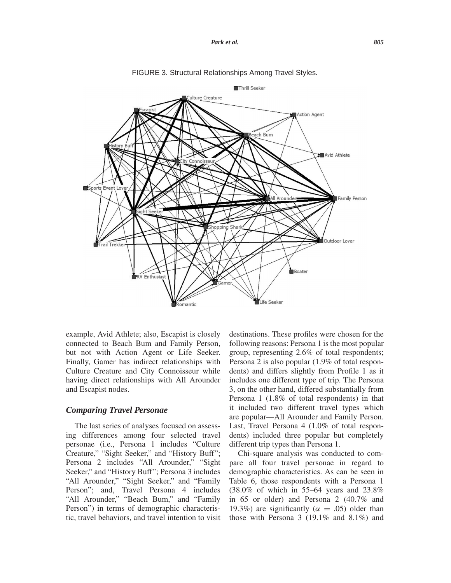

FIGURE 3. Structural Relationships Among Travel Styles.

example, Avid Athlete; also, Escapist is closely connected to Beach Bum and Family Person, but not with Action Agent or Life Seeker. Finally, Gamer has indirect relationships with Culture Creature and City Connoisseur while having direct relationships with All Arounder and Escapist nodes.

### *Comparing Travel Personae*

The last series of analyses focused on assessing differences among four selected travel personae (i.e., Persona 1 includes "Culture Creature," "Sight Seeker," and "History Buff"; Persona 2 includes "All Arounder," "Sight Seeker," and "History Buff"; Persona 3 includes "All Arounder," "Sight Seeker," and "Family Person"; and, Travel Persona 4 includes "All Arounder," "Beach Bum," and "Family Person") in terms of demographic characteristic, travel behaviors, and travel intention to visit

destinations. These profiles were chosen for the following reasons: Persona 1 is the most popular group, representing 2.6% of total respondents; Persona 2 is also popular (1.9% of total respondents) and differs slightly from Profile 1 as it includes one different type of trip. The Persona 3, on the other hand, differed substantially from Persona 1 (1.8% of total respondents) in that it included two different travel types which are popular—All Arounder and Family Person. Last, Travel Persona 4 (1.0% of total respondents) included three popular but completely different trip types than Persona 1.

Chi-square analysis was conducted to compare all four travel personae in regard to demographic characteristics. As can be seen in Table 6, those respondents with a Persona 1 (38.0% of which in 55–64 years and 23.8% in 65 or older) and Persona 2 (40.7% and 19.3%) are significantly ( $\alpha = .05$ ) older than those with Persona 3 (19.1% and 8.1%) and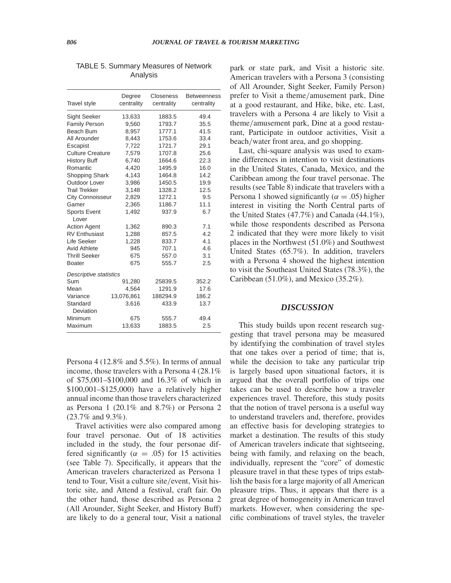| <b>Travel style</b>          | Degree<br>centrality | Closeness<br>centrality | <b>Betweenness</b><br>centrality |
|------------------------------|----------------------|-------------------------|----------------------------------|
| Sight Seeker                 | 13,633               | 1883.5                  | 49.4                             |
| <b>Family Person</b>         | 9,560                | 1793.7                  | 35.5                             |
| Beach Bum                    | 8,957                | 1777.1                  | 41.5                             |
| All Arounder                 | 8,443                | 1753.6                  | 33.4                             |
| Escapist                     | 7,722                | 1721.7                  | 29.1                             |
| <b>Culture Creature</b>      | 7,579                | 1707.8                  | 25.6                             |
| <b>History Buff</b>          | 6,740                | 1664.6                  | 22.3                             |
| Romantic                     | 4,420                | 1495.9                  | 16.0                             |
| <b>Shopping Shark</b>        | 4,143                | 1464.8                  | 14.2                             |
| <b>Outdoor Lover</b>         | 3.986                | 1450.5                  | 19.9                             |
| <b>Trail Trekker</b>         | 3,148                | 1328.2                  | 12.5                             |
| <b>City Connoisseur</b>      | 2,829                | 1272.1                  | 9.5                              |
| Gamer                        | 2,365                | 1186.7                  | 11.1                             |
| <b>Sports Event</b><br>Lover | 1,492                | 937.9                   | 6.7                              |
| <b>Action Agent</b>          | 1,362                | 890.3                   | 7.1                              |
| <b>RV Enthusiast</b>         | 1,288                | 857.5                   | 4.2                              |
| Life Seeker                  | 1,228                | 833.7                   | 4.1                              |
| <b>Avid Athlete</b>          | 945                  | 707.1                   | 4.6                              |
| <b>Thrill Seeker</b>         | 675                  | 557.0                   | 3.1                              |
| <b>Boater</b>                | 675                  | 555.7                   | 2.5                              |
| Descriptive statistics       |                      |                         |                                  |
| Sum                          | 91,280               | 25839.5                 | 352.2                            |
| Mean                         | 4,564                | 1291.9                  | 17.6                             |
| Variance                     | 13,076,861           | 188294.9                | 186.2                            |
| Standard<br>Deviation        | 3,616                | 433.9                   | 13.7                             |
| Minimum                      | 675                  | 555.7                   | 49.4                             |
| Maximum                      | 13,633               | 1883.5                  | 2.5                              |

TABLE 5. Summary Measures of Network Analysis

Persona 4 (12.8% and 5.5%). In terms of annual income, those travelers with a Persona 4 (28.1% of \$75,001–\$100,000 and 16.3% of which in \$100,001–\$125,000) have a relatively higher annual income than those travelers characterized as Persona 1 (20.1% and 8.7%) or Persona 2 (23.7% and 9.3%).

Travel activities were also compared among four travel personae. Out of 18 activities included in the study, the four personae differed significantly ( $\alpha = .05$ ) for 15 activities (see Table 7). Specifically, it appears that the American travelers characterized as Persona 1 tend to Tour, Visit a culture site/event, Visit historic site, and Attend a festival, craft fair. On the other hand, those described as Persona 2 (All Arounder, Sight Seeker, and History Buff) are likely to do a general tour, Visit a national

park or state park, and Visit a historic site. American travelers with a Persona 3 (consisting of All Arounder, Sight Seeker, Family Person) prefer to Visit a theme/amusement park, Dine at a good restaurant, and Hike, bike, etc. Last, travelers with a Persona 4 are likely to Visit a theme/amusement park, Dine at a good restaurant, Participate in outdoor activities, Visit a beach/water front area, and go shopping.

Last, chi-square analysis was used to examine differences in intention to visit destinations in the United States, Canada, Mexico, and the Caribbean among the four travel personae. The results (see Table 8) indicate that travelers with a Persona 1 showed significantly ( $\alpha = .05$ ) higher interest in visiting the North Central parts of the United States (47.7%) and Canada (44.1%), while those respondents described as Persona 2 indicated that they were more likely to visit places in the Northwest (51.0%) and Southwest United States (65.7%). In addition, travelers with a Persona 4 showed the highest intention to visit the Southeast United States (78.3%), the Caribbean (51.0%), and Mexico (35.2%).

# *DISCUSSION*

This study builds upon recent research suggesting that travel persona may be measured by identifying the combination of travel styles that one takes over a period of time; that is, while the decision to take any particular trip is largely based upon situational factors, it is argued that the overall portfolio of trips one takes can be used to describe how a traveler experiences travel. Therefore, this study posits that the notion of travel persona is a useful way to understand travelers and, therefore, provides an effective basis for developing strategies to market a destination. The results of this study of American travelers indicate that sightseeing, being with family, and relaxing on the beach, individually, represent the "core" of domestic pleasure travel in that these types of trips establish the basis for a large majority of all American pleasure trips. Thus, it appears that there is a great degree of homogeneity in American travel markets. However, when considering the specific combinations of travel styles, the traveler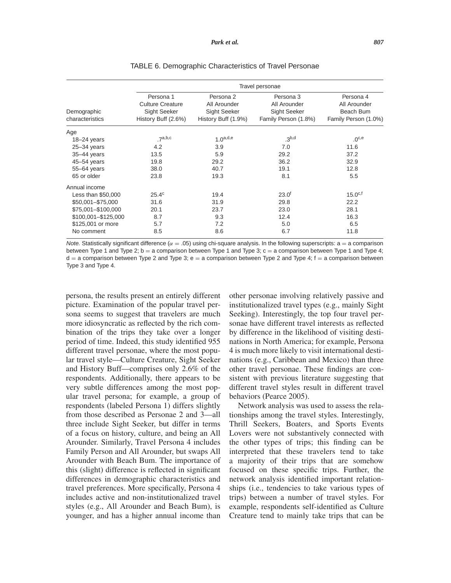|                                | Travel personae                                                             |                                                                  |                                                                   |                                                                |  |  |  |  |
|--------------------------------|-----------------------------------------------------------------------------|------------------------------------------------------------------|-------------------------------------------------------------------|----------------------------------------------------------------|--|--|--|--|
| Demographic<br>characteristics | Persona 1<br><b>Culture Creature</b><br>Sight Seeker<br>History Buff (2.6%) | Persona 2<br>All Arounder<br>Sight Seeker<br>History Buff (1.9%) | Persona 3<br>All Arounder<br>Sight Seeker<br>Family Person (1.8%) | Persona 4<br>All Arounder<br>Beach Bum<br>Family Person (1.0%) |  |  |  |  |
| Age                            |                                                                             |                                                                  |                                                                   |                                                                |  |  |  |  |
| 18-24 years                    | $7^{a,b,c}$                                                                 | $1.0^{a,d,e}$                                                    | .3 <sup>b,d</sup>                                                 | .0 <sub>c,e</sub>                                              |  |  |  |  |
| $25 - 34$ years                | 4.2                                                                         | 3.9                                                              | 7.0                                                               | 11.6                                                           |  |  |  |  |
| $35 - 44$ years                | 13.5                                                                        | 5.9                                                              | 29.2                                                              | 37.2                                                           |  |  |  |  |
| 45-54 years                    | 19.8                                                                        | 29.2                                                             | 36.2                                                              | 32.9                                                           |  |  |  |  |
| 55-64 years                    | 38.0                                                                        | 40.7                                                             | 19.1                                                              | 12.8                                                           |  |  |  |  |
| 65 or older                    | 23.8                                                                        | 19.3                                                             | 8.1                                                               | 5.5                                                            |  |  |  |  |
| Annual income                  |                                                                             |                                                                  |                                                                   |                                                                |  |  |  |  |
| Less than \$50,000             | $25.4^{\circ}$                                                              | 19.4                                                             | 23.0 <sup>t</sup>                                                 | $15.0^{c,f}$                                                   |  |  |  |  |
| \$50,001-\$75,000              | 31.6                                                                        | 31.9                                                             | 29.8                                                              | 22.2                                                           |  |  |  |  |
| \$75,001-\$100,000             | 20.1                                                                        | 23.7                                                             | 23.0                                                              | 28.1                                                           |  |  |  |  |
| \$100,001-\$125,000            | 8.7                                                                         | 9.3                                                              | 12.4                                                              | 16.3                                                           |  |  |  |  |
| \$125,001 or more              | 5.7                                                                         | 7.2                                                              | 5.0                                                               | 6.5                                                            |  |  |  |  |
| No comment                     | 8.5                                                                         | 8.6                                                              | 6.7                                                               | 11.8                                                           |  |  |  |  |

#### TABLE 6. Demographic Characteristics of Travel Personae

*Note.* Statistically significant difference ( $\alpha = .05$ ) using chi-square analysis. In the following superscripts:  $a = a$  comparison between Type 1 and Type 2;  $b = a$  comparison between Type 1 and Type 3;  $c = a$  comparison between Type 1 and Type 4;  $d = a$  comparison between Type 2 and Type 3;  $e = a$  comparison between Type 2 and Type 4;  $f = a$  comparison between Type 3 and Type 4.

persona, the results present an entirely different picture. Examination of the popular travel persona seems to suggest that travelers are much more idiosyncratic as reflected by the rich combination of the trips they take over a longer period of time. Indeed, this study identified 955 different travel personae, where the most popular travel style—Culture Creature, Sight Seeker and History Buff—comprises only 2.6% of the respondents. Additionally, there appears to be very subtle differences among the most popular travel persona; for example, a group of respondents (labeled Persona 1) differs slightly from those described as Personae 2 and 3—all three include Sight Seeker, but differ in terms of a focus on history, culture, and being an All Arounder. Similarly, Travel Persona 4 includes Family Person and All Arounder, but swaps All Arounder with Beach Bum. The importance of this (slight) difference is reflected in significant differences in demographic characteristics and travel preferences. More specifically, Persona 4 includes active and non-institutionalized travel styles (e.g., All Arounder and Beach Bum), is younger, and has a higher annual income than other personae involving relatively passive and institutionalized travel types (e.g., mainly Sight Seeking). Interestingly, the top four travel personae have different travel interests as reflected by difference in the likelihood of visiting destinations in North America; for example, Persona 4 is much more likely to visit international destinations (e.g., Caribbean and Mexico) than three other travel personae. These findings are consistent with previous literature suggesting that different travel styles result in different travel behaviors (Pearce 2005).

Network analysis was used to assess the relationships among the travel styles. Interestingly, Thrill Seekers, Boaters, and Sports Events Lovers were not substantively connected with the other types of trips; this finding can be interpreted that these travelers tend to take a majority of their trips that are somehow focused on these specific trips. Further, the network analysis identified important relationships (i.e., tendencies to take various types of trips) between a number of travel styles. For example, respondents self-identified as Culture Creature tend to mainly take trips that can be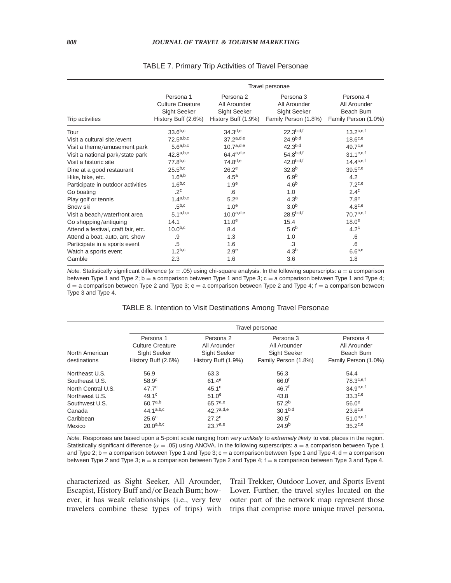|                                     |                                                             |                                           | Travel personae                           |                                        |  |
|-------------------------------------|-------------------------------------------------------------|-------------------------------------------|-------------------------------------------|----------------------------------------|--|
|                                     | Persona 1<br><b>Culture Creature</b><br><b>Sight Seeker</b> | Persona 2<br>All Arounder<br>Sight Seeker | Persona 3<br>All Arounder<br>Sight Seeker | Persona 4<br>All Arounder<br>Beach Bum |  |
| Trip activities                     | History Buff (2.6%)                                         |                                           | History Buff (1.9%) Family Person (1.8%)  | Family Person (1.0%)                   |  |
| Tour                                | $33.6^{b,c}$                                                | $34.3^{d,e}$                              | $22.3^{b,d,f}$                            | $13.2^{c,e,f}$                         |  |
| Visit a cultural site/event         | $72.5^{a,b,c}$                                              | 37.2a,d,e                                 | $24.9^{b,d}$                              | $18.6^{c,e}$                           |  |
| Visit a theme/amusement park        | $5.6^{a,b,c}$                                               | $10.7^{a,d,e}$                            | $42.3^{b,d}$                              | $49.7^{c,e}$                           |  |
| Visit a national park/state park    | $42.8^{a,b,c}$                                              | $64.4^{a,d,e}$                            | $54.8^{b,d,f}$                            | $31.1^{c,e,f}$                         |  |
| Visit a historic site               | 77.8b,c                                                     | $74.8^{d,e}$                              | $42.0^{b,d,f}$                            | 14.4c,e,f                              |  |
| Dine at a good restaurant           | $25.5^{b,c}$                                                | 26.2 <sup>e</sup>                         | $32.8^{b}$                                | 39.5c,e                                |  |
| Hike, bike, etc.                    | $1.6^{a,b}$                                                 | 4.5 <sup>a</sup>                          | 6.9 <sup>b</sup>                          | 4.2                                    |  |
| Participate in outdoor activities   | $1.6^{b,c}$                                                 | 1.9 <sup>e</sup>                          | 4.6 <sup>b</sup>                          | $7.2^{c,e}$                            |  |
| Go boating                          | .2 <sup>c</sup>                                             | .6                                        | 1.0                                       | $2.4^\circ$                            |  |
| Play golf or tennis                 | $1.4^{a,b,c}$                                               | 5.2 <sup>a</sup>                          | 4.3 <sup>b</sup>                          | 7.8 <sup>c</sup>                       |  |
| Snow ski                            | .5 <sup>b,c</sup>                                           | 1.0 <sup>e</sup>                          | 3.0 <sup>b</sup>                          | 4.8 <sup>c,e</sup>                     |  |
| Visit a beach/waterfront area       | $5.1^{a,b,c}$                                               | $10.0^{a,d,e}$                            | $28.5^{b,d,f}$                            | $70.7^{\text{c},\text{e},\text{f}}$    |  |
| Go shopping/antiquing               | 14.1                                                        | $11.0^e$                                  | 15.4                                      | 18.0 <sup>e</sup>                      |  |
| Attend a festival, craft fair, etc. | $10.0^{b,c}$                                                | 8.4                                       | 5.6 <sup>b</sup>                          | 4.2 <sup>c</sup>                       |  |
| Attend a boat, auto, ant. show      | .9                                                          | 1.3                                       | 1.0                                       | .6                                     |  |
| Participate in a sports event       | .5                                                          | 1.6                                       | .3                                        | .6                                     |  |
| Watch a sports event                | $1.2^{b,c}$                                                 | 2.9 <sup>e</sup>                          | 4.3 <sup>b</sup>                          | 6.6c, e                                |  |
| Gamble                              | 2.3                                                         | 1.6                                       | 3.6                                       | 1.8                                    |  |

#### TABLE 7. Primary Trip Activities of Travel Personae

*Note.* Statistically significant difference ( $\alpha = .05$ ) using chi-square analysis. In the following superscripts:  $a = a$  comparison between Type 1 and Type 2;  $b = a$  comparison between Type 1 and Type 3;  $c = a$  comparison between Type 1 and Type 4;  $d = a$  comparison between Type 2 and Type 3;  $e = a$  comparison between Type 2 and Type 4;  $f = a$  comparison between Type 3 and Type 4.

|                                |                                                                                    |                                                                  | Travel personae                                                   |                                                                |
|--------------------------------|------------------------------------------------------------------------------------|------------------------------------------------------------------|-------------------------------------------------------------------|----------------------------------------------------------------|
| North American<br>destinations | Persona 1<br><b>Culture Creature</b><br><b>Sight Seeker</b><br>History Buff (2.6%) | Persona 2<br>All Arounder<br>Sight Seeker<br>History Buff (1.9%) | Persona 3<br>All Arounder<br>Sight Seeker<br>Family Person (1.8%) | Persona 4<br>All Arounder<br>Beach Bum<br>Family Person (1.0%) |
| Northeast U.S.                 | 56.9                                                                               | 63.3                                                             | 56.3                                                              | 54.4                                                           |
| Southeast U.S.                 | 58.9 <sup>c</sup>                                                                  | $61.4^e$                                                         | 66.0 <sup>f</sup>                                                 | 78.3c,e,f                                                      |
| North Central U.S.             | 47.7 <sup>c</sup>                                                                  | $45.1^e$                                                         | 46.7 <sup>f</sup>                                                 | $34.9^{c,e,f}$                                                 |
| Northwest U.S.                 | 49.1 <sup>c</sup>                                                                  | $51.0^e$                                                         | 43.8                                                              | 33.3c,e                                                        |
| Southwest U.S.                 | 60.7a,b                                                                            | 65.7a,e                                                          | 57.2 <sup>b</sup>                                                 | 56.0 <sup>e</sup>                                              |
| Canada                         | 44.1a,b,c                                                                          | 42.7a,d,e                                                        | 30.1 <sup>b,d</sup>                                               | $23.6^{c,e}$                                                   |
| Caribbean                      | 25.6 <sup>c</sup>                                                                  | $27.2^e$                                                         | 30.5 <sup>†</sup>                                                 | $51.0^{c,e,f}$                                                 |
| Mexico                         | $20.0^{a,b,c}$                                                                     | $23.7^{a,e}$                                                     | $24.9^{b}$                                                        | $35.2^{c,e}$                                                   |

|  | TABLE 8. Intention to Visit Destinations Among Travel Personae |  |
|--|----------------------------------------------------------------|--|
|  |                                                                |  |

*Note.* Responses are based upon a 5-point scale ranging from *very unlikely* to *extremely likely* to visit places in the region. Statistically significant difference ( $\alpha = .05$ ) using ANOVA. In the following superscripts:  $a = a$  comparison between Type 1 and Type 2;  $b = a$  comparison between Type 1 and Type 3;  $c = a$  comparison between Type 1 and Type 4;  $d = a$  comparison between Type 2 and Type 3;  $e = a$  comparison between Type 2 and Type 4;  $f = a$  comparison between Type 3 and Type 4.

characterized as Sight Seeker, All Arounder, Escapist, History Buff and/or Beach Bum; however, it has weak relationships (i.e., very few travelers combine these types of trips) with Trail Trekker, Outdoor Lover, and Sports Event Lover. Further, the travel styles located on the outer part of the network map represent those trips that comprise more unique travel persona.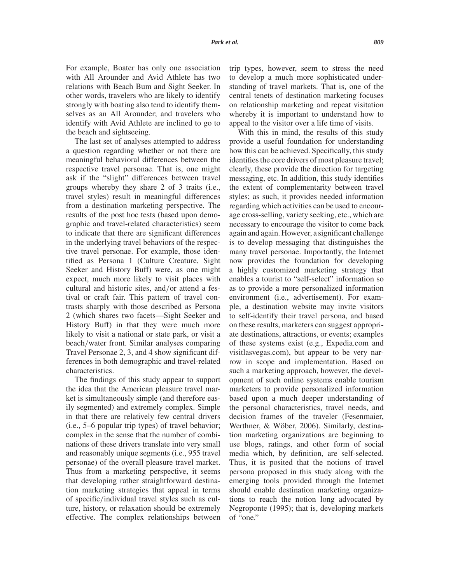For example, Boater has only one association with All Arounder and Avid Athlete has two relations with Beach Bum and Sight Seeker. In other words, travelers who are likely to identify strongly with boating also tend to identify themselves as an All Arounder; and travelers who identify with Avid Athlete are inclined to go to the beach and sightseeing.

The last set of analyses attempted to address a question regarding whether or not there are meaningful behavioral differences between the respective travel personae. That is, one might ask if the "slight" differences between travel groups whereby they share 2 of 3 traits (i.e., travel styles) result in meaningful differences from a destination marketing perspective. The results of the post hoc tests (based upon demographic and travel-related characteristics) seem to indicate that there are significant differences in the underlying travel behaviors of the respective travel personae. For example, those identified as Persona 1 (Culture Creature, Sight Seeker and History Buff) were, as one might expect, much more likely to visit places with cultural and historic sites, and/or attend a festival or craft fair. This pattern of travel contrasts sharply with those described as Persona 2 (which shares two facets—Sight Seeker and History Buff) in that they were much more likely to visit a national or state park, or visit a beach/water front. Similar analyses comparing Travel Personae 2, 3, and 4 show significant differences in both demographic and travel-related characteristics.

The findings of this study appear to support the idea that the American pleasure travel market is simultaneously simple (and therefore easily segmented) and extremely complex. Simple in that there are relatively few central drivers (i.e., 5–6 popular trip types) of travel behavior; complex in the sense that the number of combinations of these drivers translate into very small and reasonably unique segments (i.e., 955 travel personae) of the overall pleasure travel market. Thus from a marketing perspective, it seems that developing rather straightforward destination marketing strategies that appeal in terms of specific/individual travel styles such as culture, history, or relaxation should be extremely effective. The complex relationships between

trip types, however, seem to stress the need to develop a much more sophisticated understanding of travel markets. That is, one of the central tenets of destination marketing focuses on relationship marketing and repeat visitation whereby it is important to understand how to appeal to the visitor over a life time of visits.

With this in mind, the results of this study provide a useful foundation for understanding how this can be achieved. Specifically, this study identifies the core drivers of most pleasure travel; clearly, these provide the direction for targeting messaging, etc. In addition, this study identifies the extent of complementarity between travel styles; as such, it provides needed information regarding which activities can be used to encourage cross-selling, variety seeking, etc., which are necessary to encourage the visitor to come back again and again. However, a significant challenge is to develop messaging that distinguishes the many travel personae. Importantly, the Internet now provides the foundation for developing a highly customized marketing strategy that enables a tourist to "self-select" information so as to provide a more personalized information environment (i.e., advertisement). For example, a destination website may invite visitors to self-identify their travel persona, and based on these results, marketers can suggest appropriate destinations, attractions, or events; examples of these systems exist (e.g., Expedia.com and visitlasvegas.com), but appear to be very narrow in scope and implementation. Based on such a marketing approach, however, the development of such online systems enable tourism marketers to provide personalized information based upon a much deeper understanding of the personal characteristics, travel needs, and decision frames of the traveler (Fesenmaier, Werthner, & Wöber, 2006). Similarly, destination marketing organizations are beginning to use blogs, ratings, and other form of social media which, by definition, are self-selected. Thus, it is posited that the notions of travel persona proposed in this study along with the emerging tools provided through the Internet should enable destination marketing organizations to reach the notion long advocated by Negroponte (1995); that is, developing markets of "one."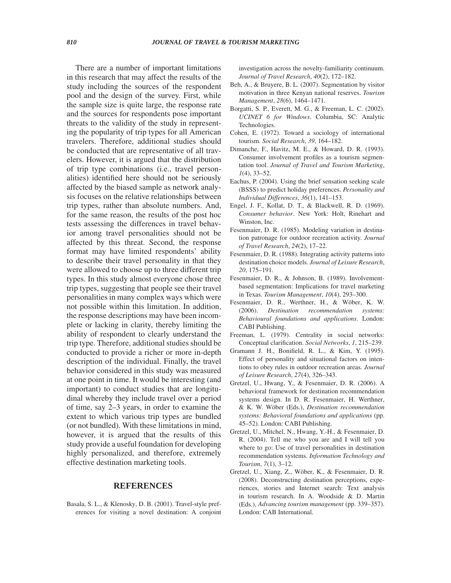There are a number of important limitations in this research that may affect the results of the study including the sources of the respondent pool and the design of the survey. First, while the sample size is quite large, the response rate and the sources for respondents pose important threats to the validity of the study in representing the popularity of trip types for all American travelers. Therefore, additional studies should be conducted that are representative of all travelers. However, it is argued that the distribution of trip type combinations (i.e., travel personalities) identified here should not be seriously affected by the biased sample as network analysis focuses on the relative relationships between trip types, rather than absolute numbers. And, for the same reason, the results of the post hoc tests assessing the differences in travel behavior among travel personalities should not be affected by this threat. Second, the response format may have limited respondents' ability to describe their travel personality in that they were allowed to choose up to three different trip types. In this study almost everyone chose three trip types, suggesting that people see their travel personalities in many complex ways which were not possible within this limitation. In addition, the response descriptions may have been incomplete or lacking in clarity, thereby limiting the ability of respondent to clearly understand the trip type. Therefore, additional studies should be conducted to provide a richer or more in-depth description of the individual. Finally, the travel behavior considered in this study was measured at one point in time. It would be interesting (and important) to conduct studies that are longitudinal whereby they include travel over a period of time, say 2–3 years, in order to examine the extent to which various trip types are bundled (or not bundled). With these limitations in mind, however, it is argued that the results of this study provide a useful foundation for developing highly personalized, and therefore, extremely effective destination marketing tools.

## **REFERENCES**

Basala, S. L., & Klenosky, D. B. (2001). Travel-style preferences for visiting a novel destination: A conjoint investigation across the novelty-familiarity continuum. *Journal of Travel Research*, *40*(2), 172–182.

- Beh, A., & Bruyere, B. L. (2007). Segmentation by visitor motivation in three Kenyan national reserves. *Tourism Management*, *28*(6), 1464–1471.
- Borgatti, S. P., Everett, M. G., & Freeman, L. C. (2002). *UCINET 6 for Windows*. Columbia, SC: Analytic Technologies.
- Cohen, E. (1972). Toward a sociology of international tourism. *Social Research*, *39*, 164–182.
- Dimanche, F., Havitz, M. E., & Howard, D. R. (1993). Consumer involvement profiles as a tourism segmentation tool. *Journal of Travel and Tourism Marketing*, *1*(4), 33–52.
- Eachus, P. (2004). Using the brief sensation seeking scale (BSSS) to predict holiday preferences. *Personality and Individual Differences*, *36*(1), 141–153.
- Engel, J. F., Kollat, D. T., & Blackwell, R. D. (1969). *Consumer behavior*. New York: Holt, Rinehart and Winston, Inc.
- Fesenmaier, D. R. (1985). Modeling variation in destination patronage for outdoor recreation activity. *Journal of Travel Research*, *24*(2), 17–22.
- Fesenmaier, D. R. (1988). Integrating activity patterns into destination choice models. *Journal of Leisure Research*, *20*, 175–191.
- Fesenmaier, D. R., & Johnson, B. (1989). Involvementbased segmentation: Implications for travel marketing in Texas. *Tourism Management*, *10*(4), 293–300.
- Fesenmaier, D. R., Werthner, H., & Wöber, K. W. (2006). *Destination recommendation systems: Behavioural foundations and applications*. London: CABI Publishing.
- Freeman, L. (1979). Centrality in social networks: Conceptual clarification. *Social Networks*, *1*, 215–239.
- Gramann J. H., Bonifield, R. L., & Kim, Y. (1995). Effect of personality and situational factors on intentions to obey rules in outdoor recreation areas. *Journal of Leisure Research*, *27*(4), 326–343.
- Gretzel, U., Hwang, Y., & Fesenmaier, D. R. (2006). A behavioral framework for destination recommendation systems design. In D. R. Fesenmaier, H. Werthner, & K. W. Wöber (Eds.), *Destination recommendation systems: Behavioral foundations and applications* (pp. 45–52). London: CABI Publishing.
- Gretzel, U., Mitchel, N., Hwang, Y.-H., & Fesenmaier, D. R. (2004). Tell me who you are and I will tell you where to go: Use of travel personalities in destination recommendation systems. *Information Technology and Tourism*, *7*(1), 3–12.
- Gretzel, U., Xiang, Z., Wöber, K., & Fesenmaier, D. R. (2008). Deconstructing destination perceptions, experiences, stories and Internet search: Text analysis in tourism research. In A. Woodside & D. Martin (Eds.), *Advancing tourism management* (pp. 339–357). London: CAB International.